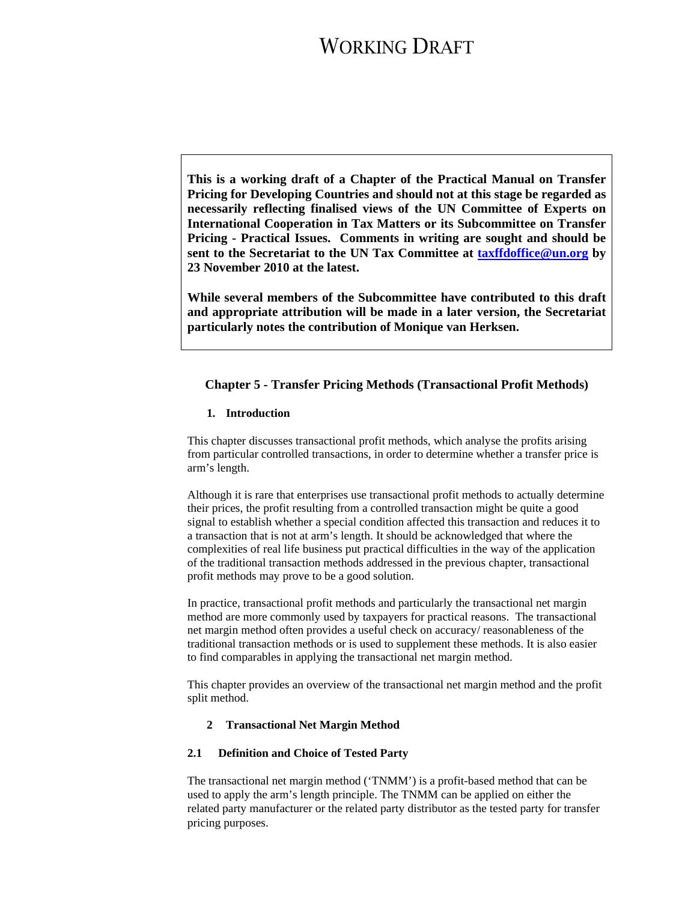**This is a working draft of a Chapter of the Practical Manual on Transfer Pricing for Developing Countries and should not at this stage be regarded as necessarily reflecting finalised views of the UN Committee of Experts on International Cooperation in Tax Matters or its Subcommittee on Transfer Pricing - Practical Issues. Comments in writing are sought and should be sent to the Secretariat to the UN Tax Committee at taxffdoffice@un.org by 23 November 2010 at the latest.** 

**While several members of the Subcommittee have contributed to this draft and appropriate attribution will be made in a later version, the Secretariat particularly notes the contribution of Monique van Herksen.** 

### **Chapter 5 - Transfer Pricing Methods (Transactional Profit Methods)**

### **1. Introduction**

This chapter discusses transactional profit methods, which analyse the profits arising from particular controlled transactions, in order to determine whether a transfer price is arm's length.

Although it is rare that enterprises use transactional profit methods to actually determine their prices, the profit resulting from a controlled transaction might be quite a good signal to establish whether a special condition affected this transaction and reduces it to a transaction that is not at arm's length. It should be acknowledged that where the complexities of real life business put practical difficulties in the way of the application of the traditional transaction methods addressed in the previous chapter, transactional profit methods may prove to be a good solution.

In practice, transactional profit methods and particularly the transactional net margin method are more commonly used by taxpayers for practical reasons. The transactional net margin method often provides a useful check on accuracy/ reasonableness of the traditional transaction methods or is used to supplement these methods. It is also easier to find comparables in applying the transactional net margin method.

This chapter provides an overview of the transactional net margin method and the profit split method.

### **2 Transactional Net Margin Method**

#### **2.1 Definition and Choice of Tested Party**

The transactional net margin method ('TNMM') is a profit-based method that can be used to apply the arm's length principle. The TNMM can be applied on either the related party manufacturer or the related party distributor as the tested party for transfer pricing purposes.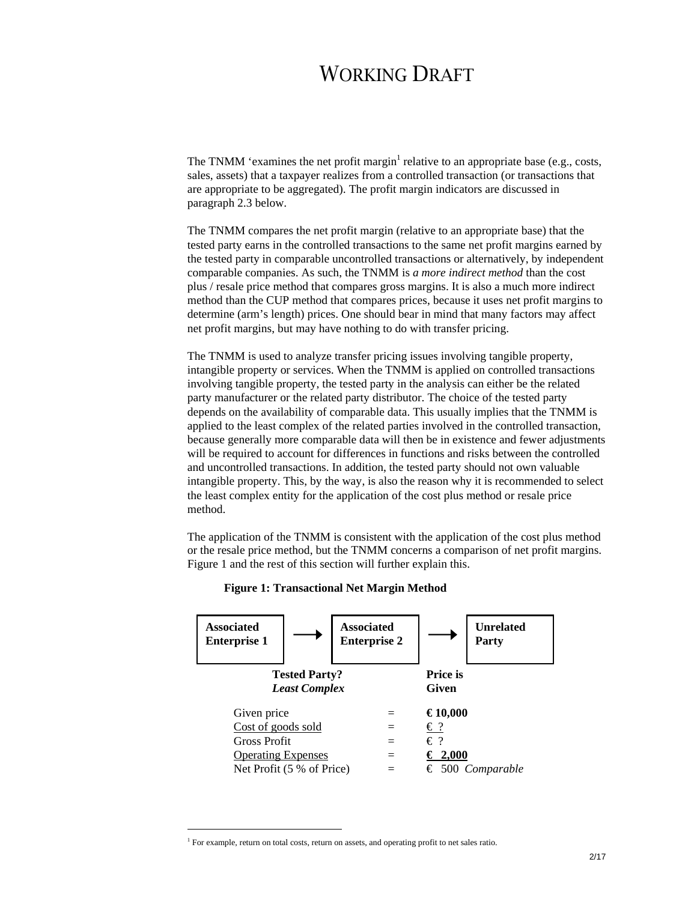The TNMM 'examines the net profit margin<sup>1</sup> relative to an appropriate base (e.g., costs, sales, assets) that a taxpayer realizes from a controlled transaction (or transactions that are appropriate to be aggregated). The profit margin indicators are discussed in paragraph 2.3 below.

The TNMM compares the net profit margin (relative to an appropriate base) that the tested party earns in the controlled transactions to the same net profit margins earned by the tested party in comparable uncontrolled transactions or alternatively, by independent comparable companies. As such, the TNMM is *a more indirect method* than the cost plus / resale price method that compares gross margins. It is also a much more indirect method than the CUP method that compares prices, because it uses net profit margins to determine (arm's length) prices. One should bear in mind that many factors may affect net profit margins, but may have nothing to do with transfer pricing.

The TNMM is used to analyze transfer pricing issues involving tangible property, intangible property or services. When the TNMM is applied on controlled transactions involving tangible property, the tested party in the analysis can either be the related party manufacturer or the related party distributor. The choice of the tested party depends on the availability of comparable data. This usually implies that the TNMM is applied to the least complex of the related parties involved in the controlled transaction, because generally more comparable data will then be in existence and fewer adjustments will be required to account for differences in functions and risks between the controlled and uncontrolled transactions. In addition, the tested party should not own valuable intangible property. This, by the way, is also the reason why it is recommended to select the least complex entity for the application of the cost plus method or resale price method.

The application of the TNMM is consistent with the application of the cost plus method or the resale price method, but the TNMM concerns a comparison of net profit margins. Figure 1 and the rest of this section will further explain this.

#### **Figure 1: Transactional Net Margin Method**



l

<sup>&</sup>lt;sup>1</sup> For example, return on total costs, return on assets, and operating profit to net sales ratio.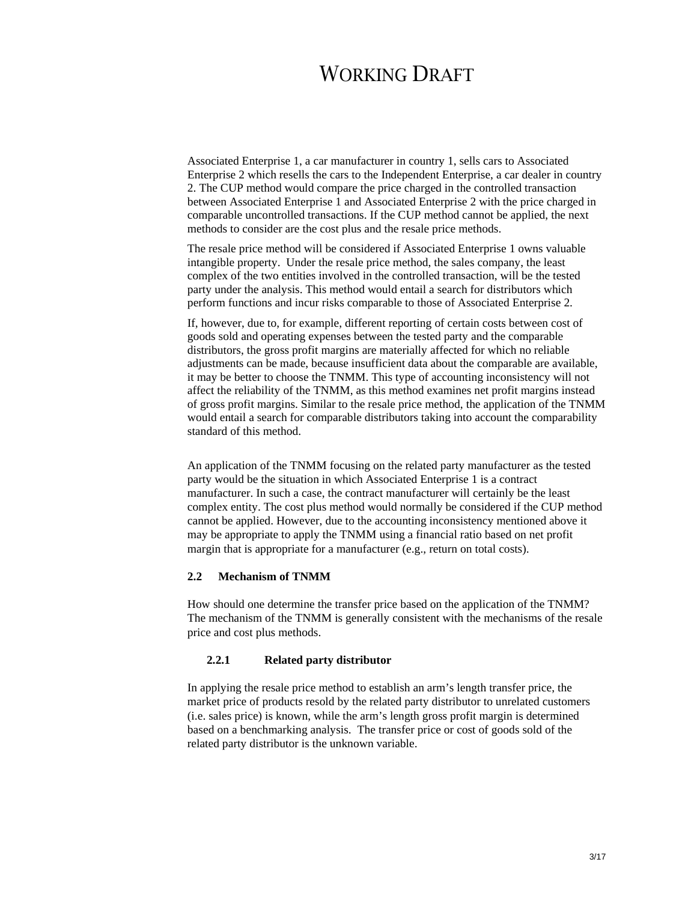Associated Enterprise 1, a car manufacturer in country 1, sells cars to Associated Enterprise 2 which resells the cars to the Independent Enterprise, a car dealer in country 2. The CUP method would compare the price charged in the controlled transaction between Associated Enterprise 1 and Associated Enterprise 2 with the price charged in comparable uncontrolled transactions. If the CUP method cannot be applied, the next methods to consider are the cost plus and the resale price methods.

The resale price method will be considered if Associated Enterprise 1 owns valuable intangible property. Under the resale price method, the sales company, the least complex of the two entities involved in the controlled transaction, will be the tested party under the analysis. This method would entail a search for distributors which perform functions and incur risks comparable to those of Associated Enterprise 2.

If, however, due to, for example, different reporting of certain costs between cost of goods sold and operating expenses between the tested party and the comparable distributors, the gross profit margins are materially affected for which no reliable adjustments can be made, because insufficient data about the comparable are available, it may be better to choose the TNMM. This type of accounting inconsistency will not affect the reliability of the TNMM, as this method examines net profit margins instead of gross profit margins. Similar to the resale price method, the application of the TNMM would entail a search for comparable distributors taking into account the comparability standard of this method.

An application of the TNMM focusing on the related party manufacturer as the tested party would be the situation in which Associated Enterprise 1 is a contract manufacturer. In such a case, the contract manufacturer will certainly be the least complex entity. The cost plus method would normally be considered if the CUP method cannot be applied. However, due to the accounting inconsistency mentioned above it may be appropriate to apply the TNMM using a financial ratio based on net profit margin that is appropriate for a manufacturer (e.g., return on total costs).

### **2.2 Mechanism of TNMM**

How should one determine the transfer price based on the application of the TNMM? The mechanism of the TNMM is generally consistent with the mechanisms of the resale price and cost plus methods.

### **2.2.1 Related party distributor**

In applying the resale price method to establish an arm's length transfer price, the market price of products resold by the related party distributor to unrelated customers (i.e. sales price) is known, while the arm's length gross profit margin is determined based on a benchmarking analysis. The transfer price or cost of goods sold of the related party distributor is the unknown variable.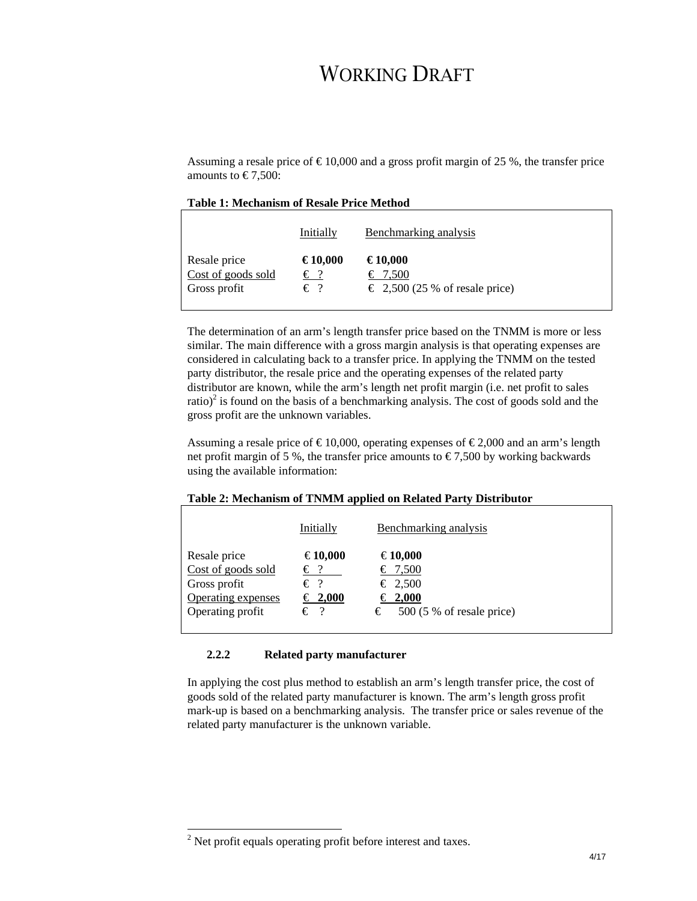Assuming a resale price of  $\text{£}10,000$  and a gross profit margin of 25 %, the transfer price amounts to  $\text{\textsterling}7,500$ :

|                    | Initially    | Benchmarking analysis                   |
|--------------------|--------------|-----------------------------------------|
| Resale price       | €10,000      | €10,000                                 |
| Cost of goods sold | $\epsilon$ ? | € 7,500                                 |
| Gross profit       | $\epsilon$ ? | $\epsilon$ 2,500 (25 % of resale price) |

The determination of an arm's length transfer price based on the TNMM is more or less similar. The main difference with a gross margin analysis is that operating expenses are considered in calculating back to a transfer price. In applying the TNMM on the tested party distributor, the resale price and the operating expenses of the related party distributor are known, while the arm's length net profit margin (i.e. net profit to sales ratio)<sup>2</sup> is found on the basis of a benchmarking analysis. The cost of goods sold and the gross profit are the unknown variables.

Assuming a resale price of  $\text{\textsterling}10,000$ , operating expenses of  $\text{\textsterling}2,000$  and an arm's length net profit margin of 5 %, the transfer price amounts to  $\epsilon$ 7,500 by working backwards using the available information:

#### **Table 2: Mechanism of TNMM applied on Related Party Distributor**

|                                                                                              | Initially                                                | Benchmarking analysis                                                               |
|----------------------------------------------------------------------------------------------|----------------------------------------------------------|-------------------------------------------------------------------------------------|
| Resale price<br>Cost of goods sold<br>Gross profit<br>Operating expenses<br>Operating profit | €10,000<br>€?<br>$\epsilon$ ?<br>€ 2,000<br>$\epsilon$ ? | €10,000<br>€ 7,500<br>€ 2,500<br>€ 2,000<br>$500(5\% \text{ of resale price})$<br>€ |

### **2.2.2 Related party manufacturer**

In applying the cost plus method to establish an arm's length transfer price, the cost of goods sold of the related party manufacturer is known. The arm's length gross profit mark-up is based on a benchmarking analysis. The transfer price or sales revenue of the related party manufacturer is the unknown variable.

l

 $2^2$  Net profit equals operating profit before interest and taxes.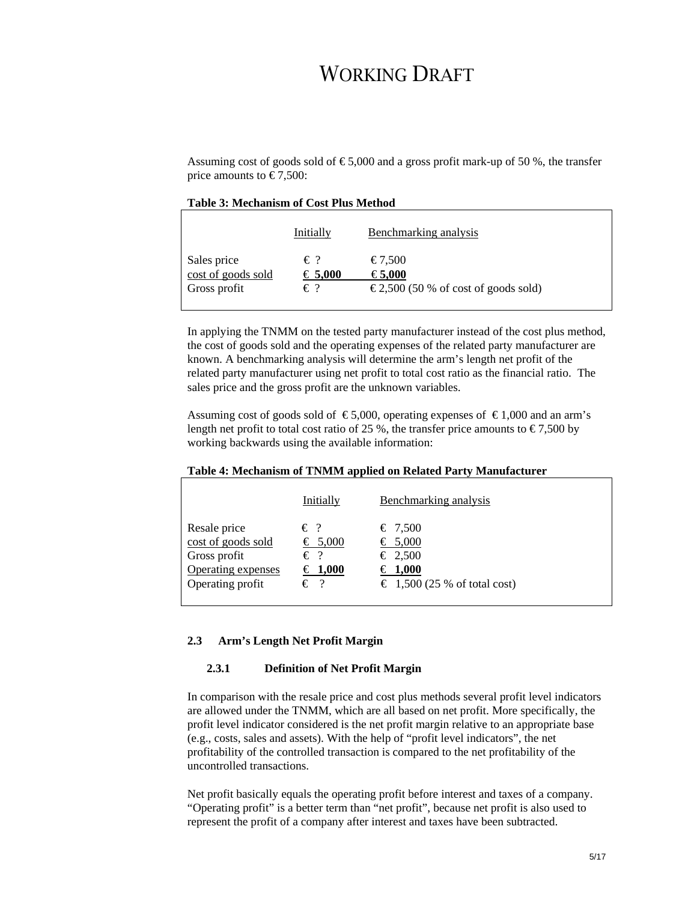Assuming cost of goods sold of  $\epsilon$ 5,000 and a gross profit mark-up of 50 %, the transfer price amounts to  $\in 7,500$ :

### **Table 3: Mechanism of Cost Plus Method**

|                    | Initially        | Benchmarking analysis                          |
|--------------------|------------------|------------------------------------------------|
| Sales price        | $\epsilon$ ?     | $\textcolor{red}{\textbf{\textsterling}}7,500$ |
| cost of goods sold | $\epsilon$ 5,000 | €5,000                                         |
| Gross profit       | $\epsilon$ ?     | $\epsilon$ 2,500 (50 % of cost of goods sold)  |
|                    |                  |                                                |

In applying the TNMM on the tested party manufacturer instead of the cost plus method, the cost of goods sold and the operating expenses of the related party manufacturer are known. A benchmarking analysis will determine the arm's length net profit of the related party manufacturer using net profit to total cost ratio as the financial ratio. The sales price and the gross profit are the unknown variables.

Assuming cost of goods sold of  $\epsilon$ 5,000, operating expenses of  $\epsilon$ 1,000 and an arm's length net profit to total cost ratio of 25 %, the transfer price amounts to  $\epsilon$ 7,500 by working backwards using the available information:

#### **Table 4: Mechanism of TNMM applied on Related Party Manufacturer**

|                    | Initially    | Benchmarking analysis                 |
|--------------------|--------------|---------------------------------------|
| Resale price       | $\epsilon$ ? | € 7,500                               |
| cost of goods sold | € 5,000      | € 5,000                               |
| Gross profit       | $\epsilon$ ? | € 2,500                               |
| Operating expenses | € 1,000      | $\epsilon$ 1,000                      |
| Operating profit   | $\epsilon$ ? | $\epsilon$ 1,500 (25 % of total cost) |

### **2.3 Arm's Length Net Profit Margin**

#### **2.3.1 Definition of Net Profit Margin**

In comparison with the resale price and cost plus methods several profit level indicators are allowed under the TNMM, which are all based on net profit. More specifically, the profit level indicator considered is the net profit margin relative to an appropriate base (e.g., costs, sales and assets). With the help of "profit level indicators", the net profitability of the controlled transaction is compared to the net profitability of the uncontrolled transactions.

Net profit basically equals the operating profit before interest and taxes of a company. "Operating profit" is a better term than "net profit", because net profit is also used to represent the profit of a company after interest and taxes have been subtracted.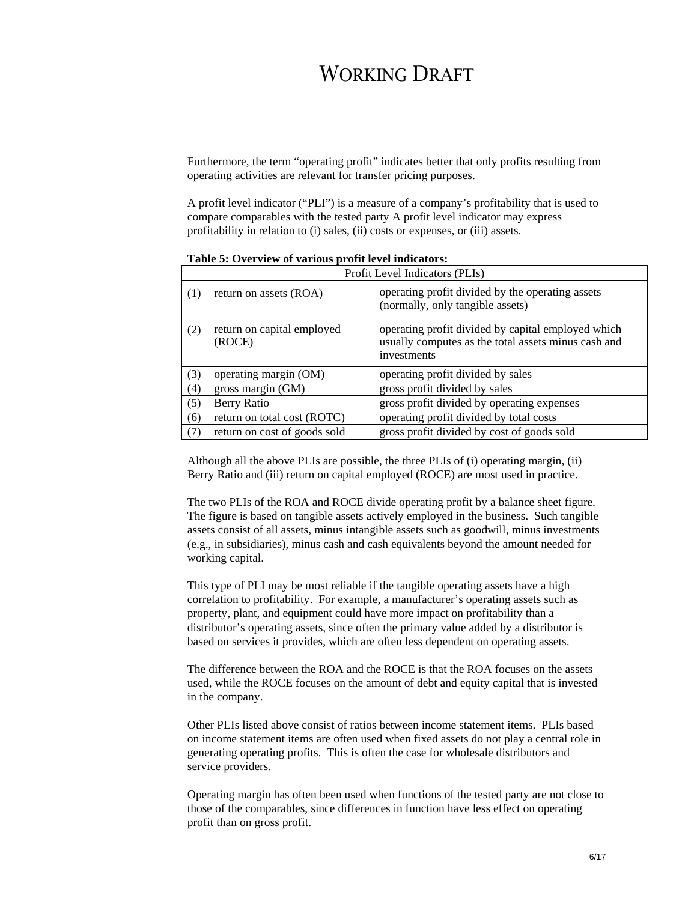Furthermore, the term "operating profit" indicates better that only profits resulting from operating activities are relevant for transfer pricing purposes.

A profit level indicator ("PLI") is a measure of a company's profitability that is used to compare comparables with the tested party A profit level indicator may express profitability in relation to (i) sales, (ii) costs or expenses, or (iii) assets.

|     | Profit Level Indicators (PLIs)       |                                                                                                                          |  |
|-----|--------------------------------------|--------------------------------------------------------------------------------------------------------------------------|--|
| (1) | return on assets (ROA)               | operating profit divided by the operating assets<br>(normally, only tangible assets)                                     |  |
| (2) | return on capital employed<br>(ROCE) | operating profit divided by capital employed which<br>usually computes as the total assets minus cash and<br>investments |  |
| (3) | operating margin (OM)                | operating profit divided by sales                                                                                        |  |
| (4) | gross margin $(GM)$                  | gross profit divided by sales                                                                                            |  |
| (5) | Berry Ratio                          | gross profit divided by operating expenses                                                                               |  |
| (6) | return on total cost (ROTC)          | operating profit divided by total costs                                                                                  |  |
| (7) | return on cost of goods sold         | gross profit divided by cost of goods sold                                                                               |  |

**Table 5: Overview of various profit level indicators:** 

Although all the above PLIs are possible, the three PLIs of (i) operating margin, (ii) Berry Ratio and (iii) return on capital employed (ROCE) are most used in practice.

The two PLIs of the ROA and ROCE divide operating profit by a balance sheet figure. The figure is based on tangible assets actively employed in the business. Such tangible assets consist of all assets, minus intangible assets such as goodwill, minus investments (e.g., in subsidiaries), minus cash and cash equivalents beyond the amount needed for working capital.

This type of PLI may be most reliable if the tangible operating assets have a high correlation to profitability. For example, a manufacturer's operating assets such as property, plant, and equipment could have more impact on profitability than a distributor's operating assets, since often the primary value added by a distributor is based on services it provides, which are often less dependent on operating assets.

The difference between the ROA and the ROCE is that the ROA focuses on the assets used, while the ROCE focuses on the amount of debt and equity capital that is invested in the company.

Other PLIs listed above consist of ratios between income statement items. PLIs based on income statement items are often used when fixed assets do not play a central role in generating operating profits. This is often the case for wholesale distributors and service providers.

Operating margin has often been used when functions of the tested party are not close to those of the comparables, since differences in function have less effect on operating profit than on gross profit.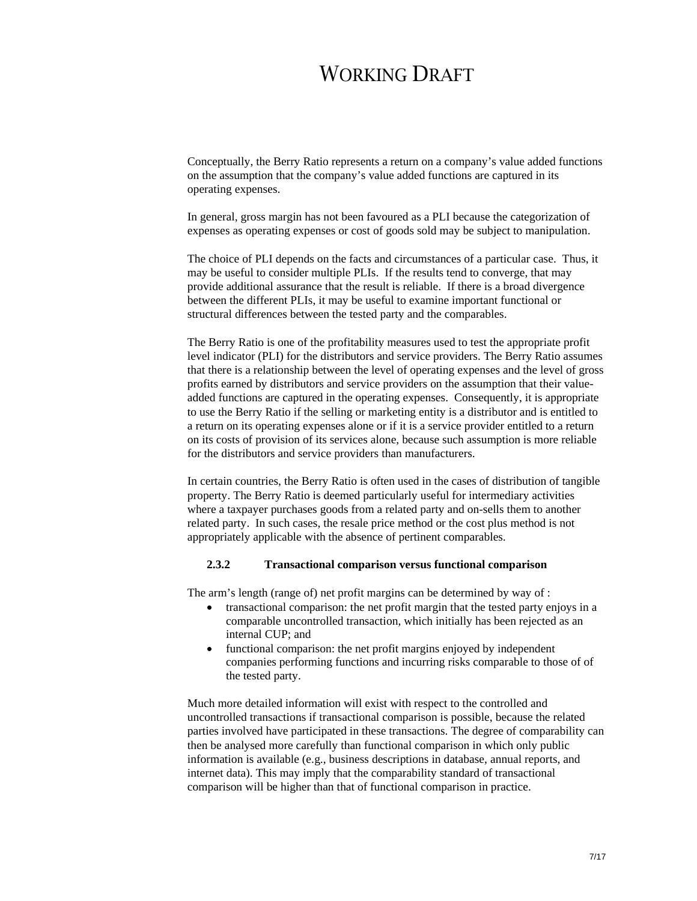Conceptually, the Berry Ratio represents a return on a company's value added functions on the assumption that the company's value added functions are captured in its operating expenses.

In general, gross margin has not been favoured as a PLI because the categorization of expenses as operating expenses or cost of goods sold may be subject to manipulation.

The choice of PLI depends on the facts and circumstances of a particular case. Thus, it may be useful to consider multiple PLIs. If the results tend to converge, that may provide additional assurance that the result is reliable. If there is a broad divergence between the different PLIs, it may be useful to examine important functional or structural differences between the tested party and the comparables.

The Berry Ratio is one of the profitability measures used to test the appropriate profit level indicator (PLI) for the distributors and service providers. The Berry Ratio assumes that there is a relationship between the level of operating expenses and the level of gross profits earned by distributors and service providers on the assumption that their valueadded functions are captured in the operating expenses. Consequently, it is appropriate to use the Berry Ratio if the selling or marketing entity is a distributor and is entitled to a return on its operating expenses alone or if it is a service provider entitled to a return on its costs of provision of its services alone, because such assumption is more reliable for the distributors and service providers than manufacturers.

In certain countries, the Berry Ratio is often used in the cases of distribution of tangible property. The Berry Ratio is deemed particularly useful for intermediary activities where a taxpayer purchases goods from a related party and on-sells them to another related party. In such cases, the resale price method or the cost plus method is not appropriately applicable with the absence of pertinent comparables.

### **2.3.2 Transactional comparison versus functional comparison**

The arm's length (range of) net profit margins can be determined by way of :

- transactional comparison: the net profit margin that the tested party enjoys in a comparable uncontrolled transaction, which initially has been rejected as an internal CUP; and
- functional comparison: the net profit margins enjoyed by independent companies performing functions and incurring risks comparable to those of of the tested party.

Much more detailed information will exist with respect to the controlled and uncontrolled transactions if transactional comparison is possible, because the related parties involved have participated in these transactions. The degree of comparability can then be analysed more carefully than functional comparison in which only public information is available (e.g., business descriptions in database, annual reports, and internet data). This may imply that the comparability standard of transactional comparison will be higher than that of functional comparison in practice.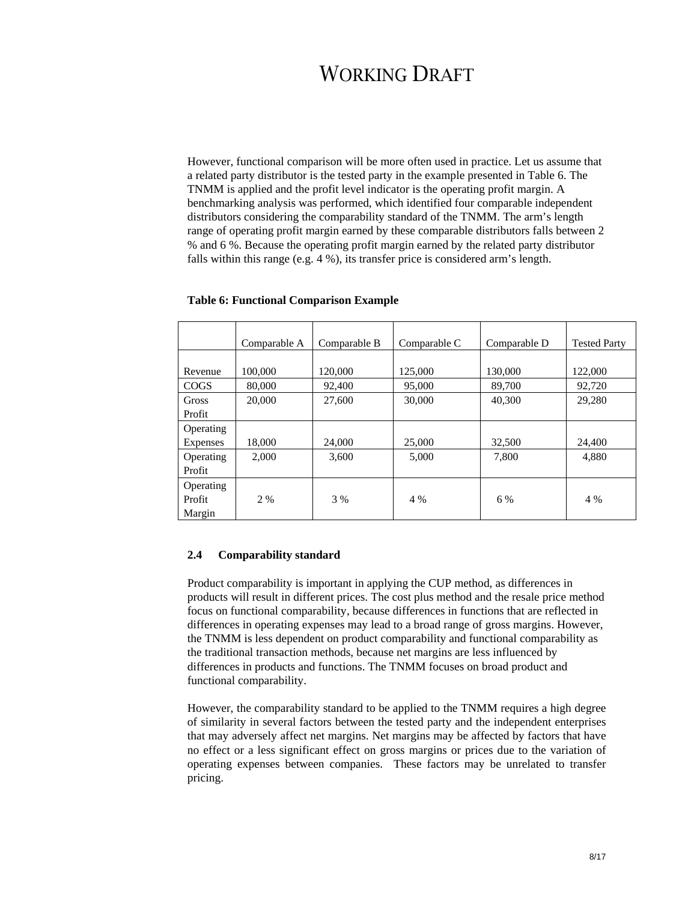However, functional comparison will be more often used in practice. Let us assume that a related party distributor is the tested party in the example presented in Table 6. The TNMM is applied and the profit level indicator is the operating profit margin. A benchmarking analysis was performed, which identified four comparable independent distributors considering the comparability standard of the TNMM. The arm's length range of operating profit margin earned by these comparable distributors falls between 2 % and 6 %. Because the operating profit margin earned by the related party distributor falls within this range (e.g. 4 %), its transfer price is considered arm's length.

|             | Comparable A | Comparable B | Comparable C | Comparable D | <b>Tested Party</b> |
|-------------|--------------|--------------|--------------|--------------|---------------------|
|             |              |              |              |              |                     |
| Revenue     | 100,000      | 120,000      | 125,000      | 130,000      | 122,000             |
| <b>COGS</b> | 80,000       | 92,400       | 95,000       | 89,700       | 92,720              |
| Gross       | 20,000       | 27,600       | 30,000       | 40,300       | 29,280              |
| Profit      |              |              |              |              |                     |
| Operating   |              |              |              |              |                     |
| Expenses    | 18,000       | 24,000       | 25,000       | 32,500       | 24,400              |
| Operating   | 2,000        | 3,600        | 5,000        | 7,800        | 4,880               |
| Profit      |              |              |              |              |                     |
| Operating   |              |              |              |              |                     |
| Profit      | 2 %          | 3 %          | 4 %          | 6 %          | 4 %                 |
| Margin      |              |              |              |              |                     |

#### **Table 6: Functional Comparison Example**

#### **2.4 Comparability standard**

Product comparability is important in applying the CUP method, as differences in products will result in different prices. The cost plus method and the resale price method focus on functional comparability, because differences in functions that are reflected in differences in operating expenses may lead to a broad range of gross margins. However, the TNMM is less dependent on product comparability and functional comparability as the traditional transaction methods, because net margins are less influenced by differences in products and functions. The TNMM focuses on broad product and functional comparability.

However, the comparability standard to be applied to the TNMM requires a high degree of similarity in several factors between the tested party and the independent enterprises that may adversely affect net margins. Net margins may be affected by factors that have no effect or a less significant effect on gross margins or prices due to the variation of operating expenses between companies. These factors may be unrelated to transfer pricing.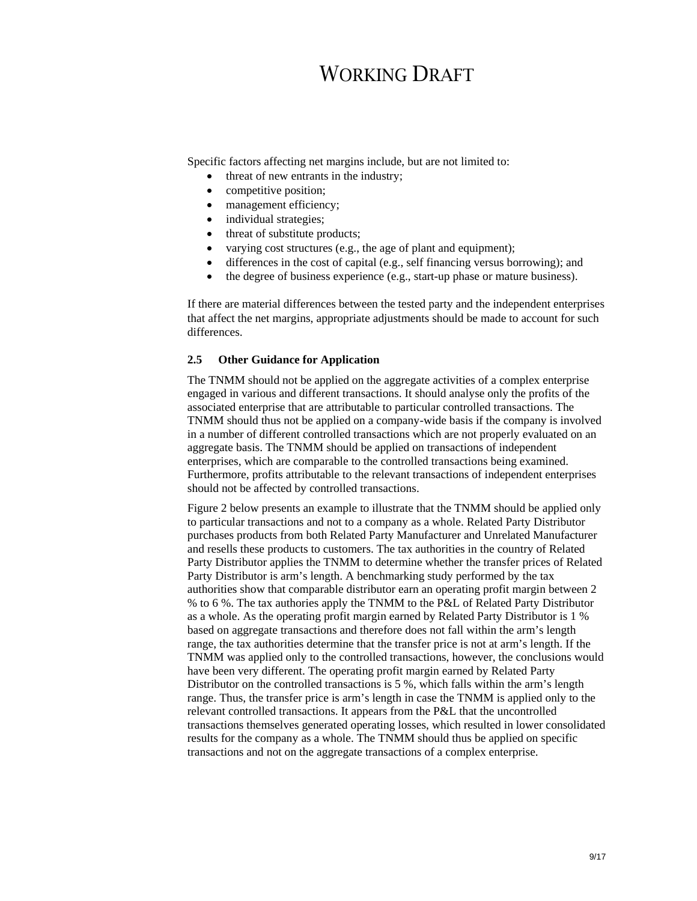Specific factors affecting net margins include, but are not limited to:

- threat of new entrants in the industry;
- competitive position;
- management efficiency;
- individual strategies;
- threat of substitute products;
- varying cost structures (e.g., the age of plant and equipment);
- differences in the cost of capital (e.g., self financing versus borrowing); and
- the degree of business experience (e.g., start-up phase or mature business).

If there are material differences between the tested party and the independent enterprises that affect the net margins, appropriate adjustments should be made to account for such differences.

### **2.5 Other Guidance for Application**

The TNMM should not be applied on the aggregate activities of a complex enterprise engaged in various and different transactions. It should analyse only the profits of the associated enterprise that are attributable to particular controlled transactions. The TNMM should thus not be applied on a company-wide basis if the company is involved in a number of different controlled transactions which are not properly evaluated on an aggregate basis. The TNMM should be applied on transactions of independent enterprises, which are comparable to the controlled transactions being examined. Furthermore, profits attributable to the relevant transactions of independent enterprises should not be affected by controlled transactions.

Figure 2 below presents an example to illustrate that the TNMM should be applied only to particular transactions and not to a company as a whole. Related Party Distributor purchases products from both Related Party Manufacturer and Unrelated Manufacturer and resells these products to customers. The tax authorities in the country of Related Party Distributor applies the TNMM to determine whether the transfer prices of Related Party Distributor is arm's length. A benchmarking study performed by the tax authorities show that comparable distributor earn an operating profit margin between 2 % to 6 %. The tax authories apply the TNMM to the P&L of Related Party Distributor as a whole. As the operating profit margin earned by Related Party Distributor is 1 % based on aggregate transactions and therefore does not fall within the arm's length range, the tax authorities determine that the transfer price is not at arm's length. If the TNMM was applied only to the controlled transactions, however, the conclusions would have been very different. The operating profit margin earned by Related Party Distributor on the controlled transactions is 5 %, which falls within the arm's length range. Thus, the transfer price is arm's length in case the TNMM is applied only to the relevant controlled transactions. It appears from the P&L that the uncontrolled transactions themselves generated operating losses, which resulted in lower consolidated results for the company as a whole. The TNMM should thus be applied on specific transactions and not on the aggregate transactions of a complex enterprise.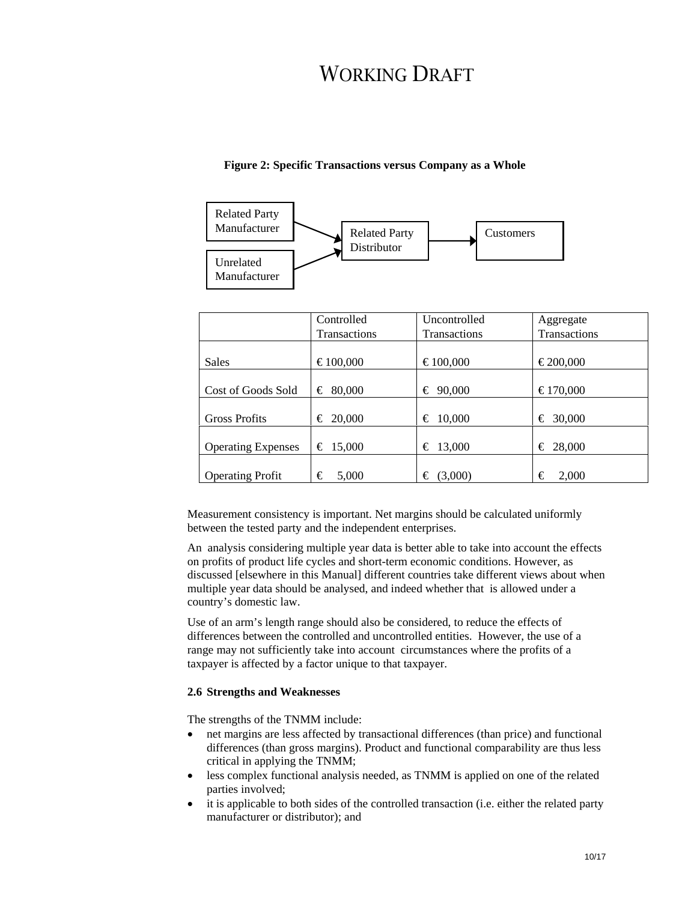## **Figure 2: Specific Transactions versus Company as a Whole**



|                           | Controlled   | Uncontrolled        | Aggregate    |
|---------------------------|--------------|---------------------|--------------|
|                           | Transactions | <b>Transactions</b> | Transactions |
|                           |              |                     |              |
| <b>Sales</b>              | €100,000     | €100,000            | €200,000     |
|                           |              |                     |              |
| Cost of Goods Sold        | € 80,000     | € 90,000            | €170,000     |
|                           |              |                     |              |
| <b>Gross Profits</b>      | € 20,000     | $\epsilon$ 10,000   | 30,000<br>€  |
|                           |              |                     |              |
| <b>Operating Expenses</b> | € 15,000     | € 13,000            | € 28,000     |
|                           |              |                     |              |
| <b>Operating Profit</b>   | €<br>5,000   | (3,000)<br>€        | 2,000<br>€   |

Measurement consistency is important. Net margins should be calculated uniformly between the tested party and the independent enterprises.

An analysis considering multiple year data is better able to take into account the effects on profits of product life cycles and short-term economic conditions. However, as discussed [elsewhere in this Manual] different countries take different views about when multiple year data should be analysed, and indeed whether that is allowed under a country's domestic law.

Use of an arm's length range should also be considered, to reduce the effects of differences between the controlled and uncontrolled entities. However, the use of a range may not sufficiently take into account circumstances where the profits of a taxpayer is affected by a factor unique to that taxpayer.

### **2.6 Strengths and Weaknesses**

The strengths of the TNMM include:

- net margins are less affected by transactional differences (than price) and functional differences (than gross margins). Product and functional comparability are thus less critical in applying the TNMM;
- less complex functional analysis needed, as TNMM is applied on one of the related parties involved;
- it is applicable to both sides of the controlled transaction (i.e. either the related party manufacturer or distributor); and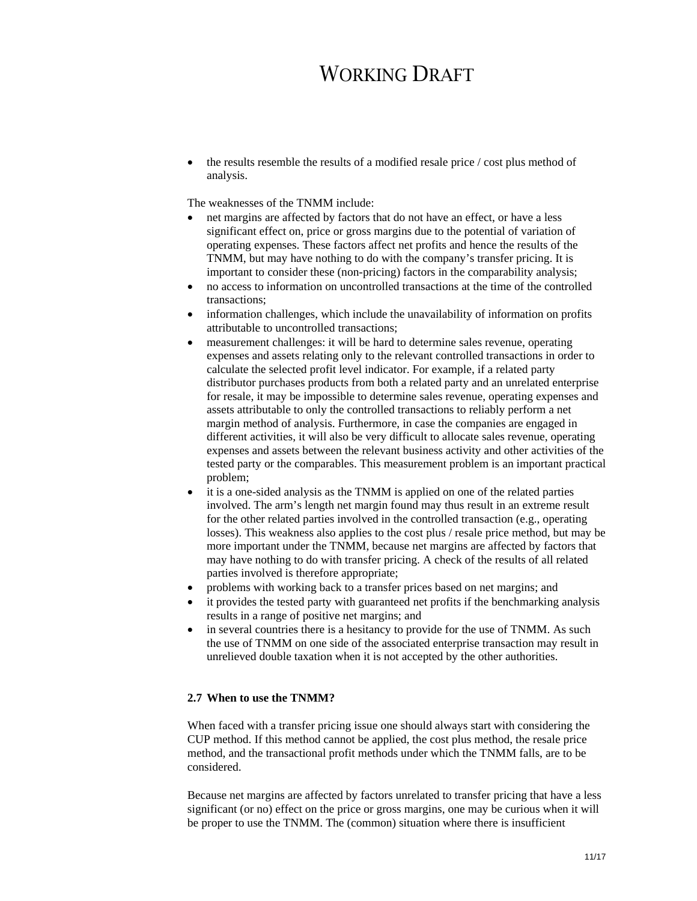• the results resemble the results of a modified resale price / cost plus method of analysis.

The weaknesses of the TNMM include:

- net margins are affected by factors that do not have an effect, or have a less significant effect on, price or gross margins due to the potential of variation of operating expenses. These factors affect net profits and hence the results of the TNMM, but may have nothing to do with the company's transfer pricing. It is important to consider these (non-pricing) factors in the comparability analysis;
- no access to information on uncontrolled transactions at the time of the controlled transactions;
- information challenges, which include the unavailability of information on profits attributable to uncontrolled transactions;
- measurement challenges: it will be hard to determine sales revenue, operating expenses and assets relating only to the relevant controlled transactions in order to calculate the selected profit level indicator. For example, if a related party distributor purchases products from both a related party and an unrelated enterprise for resale, it may be impossible to determine sales revenue, operating expenses and assets attributable to only the controlled transactions to reliably perform a net margin method of analysis. Furthermore, in case the companies are engaged in different activities, it will also be very difficult to allocate sales revenue, operating expenses and assets between the relevant business activity and other activities of the tested party or the comparables. This measurement problem is an important practical problem;
- it is a one-sided analysis as the TNMM is applied on one of the related parties involved. The arm's length net margin found may thus result in an extreme result for the other related parties involved in the controlled transaction (e.g., operating losses). This weakness also applies to the cost plus / resale price method, but may be more important under the TNMM, because net margins are affected by factors that may have nothing to do with transfer pricing. A check of the results of all related parties involved is therefore appropriate;
- problems with working back to a transfer prices based on net margins; and
- it provides the tested party with guaranteed net profits if the benchmarking analysis results in a range of positive net margins; and
- in several countries there is a hesitancy to provide for the use of TNMM. As such the use of TNMM on one side of the associated enterprise transaction may result in unrelieved double taxation when it is not accepted by the other authorities.

### **2.7 When to use the TNMM?**

When faced with a transfer pricing issue one should always start with considering the CUP method. If this method cannot be applied, the cost plus method, the resale price method, and the transactional profit methods under which the TNMM falls, are to be considered.

Because net margins are affected by factors unrelated to transfer pricing that have a less significant (or no) effect on the price or gross margins, one may be curious when it will be proper to use the TNMM. The (common) situation where there is insufficient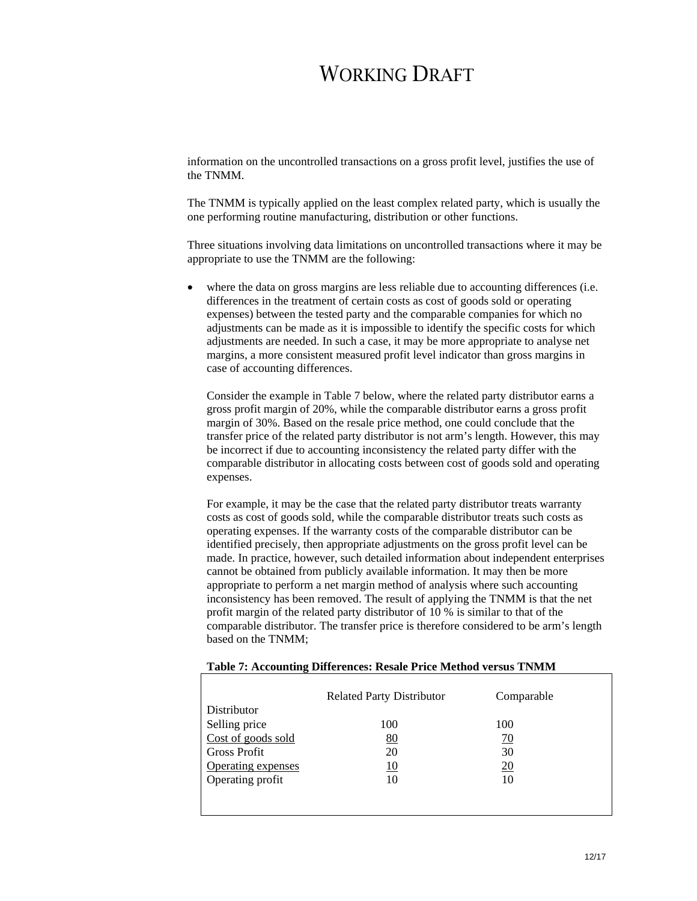information on the uncontrolled transactions on a gross profit level, justifies the use of the TNMM.

The TNMM is typically applied on the least complex related party, which is usually the one performing routine manufacturing, distribution or other functions.

Three situations involving data limitations on uncontrolled transactions where it may be appropriate to use the TNMM are the following:

where the data on gross margins are less reliable due to accounting differences (i.e. differences in the treatment of certain costs as cost of goods sold or operating expenses) between the tested party and the comparable companies for which no adjustments can be made as it is impossible to identify the specific costs for which adjustments are needed. In such a case, it may be more appropriate to analyse net margins, a more consistent measured profit level indicator than gross margins in case of accounting differences.

Consider the example in Table 7 below, where the related party distributor earns a gross profit margin of 20%, while the comparable distributor earns a gross profit margin of 30%. Based on the resale price method, one could conclude that the transfer price of the related party distributor is not arm's length. However, this may be incorrect if due to accounting inconsistency the related party differ with the comparable distributor in allocating costs between cost of goods sold and operating expenses.

For example, it may be the case that the related party distributor treats warranty costs as cost of goods sold, while the comparable distributor treats such costs as operating expenses. If the warranty costs of the comparable distributor can be identified precisely, then appropriate adjustments on the gross profit level can be made. In practice, however, such detailed information about independent enterprises cannot be obtained from publicly available information. It may then be more appropriate to perform a net margin method of analysis where such accounting inconsistency has been removed. The result of applying the TNMM is that the net profit margin of the related party distributor of 10 % is similar to that of the comparable distributor. The transfer price is therefore considered to be arm's length based on the TNMM;

|                    | <b>Related Party Distributor</b> | Comparable |  |
|--------------------|----------------------------------|------------|--|
| <b>Distributor</b> |                                  |            |  |
| Selling price      | 100                              | 100        |  |
| Cost of goods sold | 80                               | 70         |  |
| Gross Profit       | 20                               | 30         |  |
| Operating expenses | 10                               | 20         |  |
| Operating profit   | 10                               | 10         |  |
|                    |                                  |            |  |

#### **Table 7: Accounting Differences: Resale Price Method versus TNMM**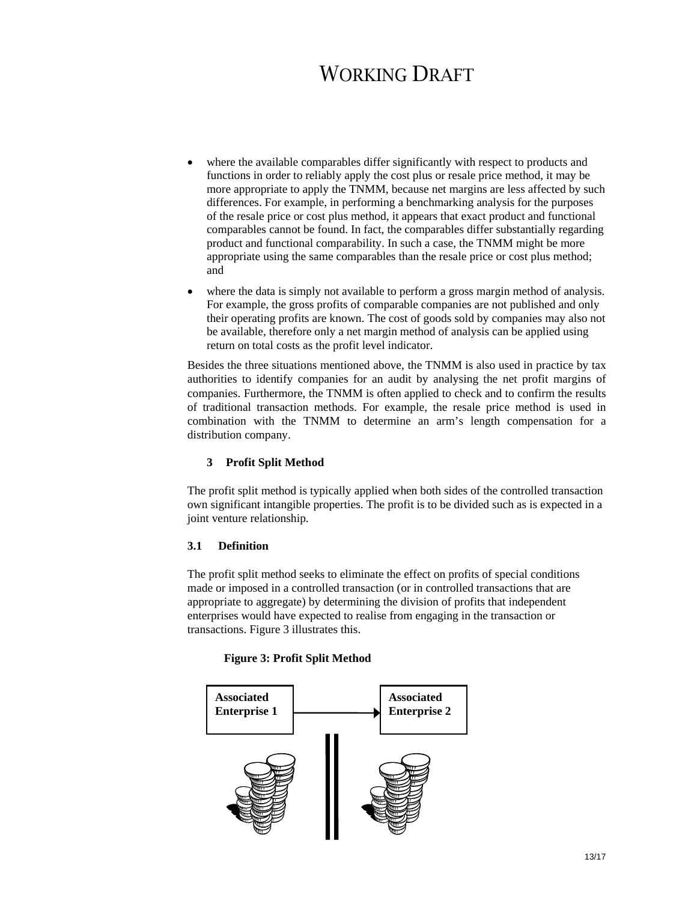- where the available comparables differ significantly with respect to products and functions in order to reliably apply the cost plus or resale price method, it may be more appropriate to apply the TNMM, because net margins are less affected by such differences. For example, in performing a benchmarking analysis for the purposes of the resale price or cost plus method, it appears that exact product and functional comparables cannot be found. In fact, the comparables differ substantially regarding product and functional comparability. In such a case, the TNMM might be more appropriate using the same comparables than the resale price or cost plus method; and
- where the data is simply not available to perform a gross margin method of analysis. For example, the gross profits of comparable companies are not published and only their operating profits are known. The cost of goods sold by companies may also not be available, therefore only a net margin method of analysis can be applied using return on total costs as the profit level indicator.

Besides the three situations mentioned above, the TNMM is also used in practice by tax authorities to identify companies for an audit by analysing the net profit margins of companies. Furthermore, the TNMM is often applied to check and to confirm the results of traditional transaction methods. For example, the resale price method is used in combination with the TNMM to determine an arm's length compensation for a distribution company.

### **3 Profit Split Method**

The profit split method is typically applied when both sides of the controlled transaction own significant intangible properties. The profit is to be divided such as is expected in a joint venture relationship.

### **3.1 Definition**

The profit split method seeks to eliminate the effect on profits of special conditions made or imposed in a controlled transaction (or in controlled transactions that are appropriate to aggregate) by determining the division of profits that independent enterprises would have expected to realise from engaging in the transaction or transactions. Figure 3 illustrates this.

### **Figure 3: Profit Split Method**

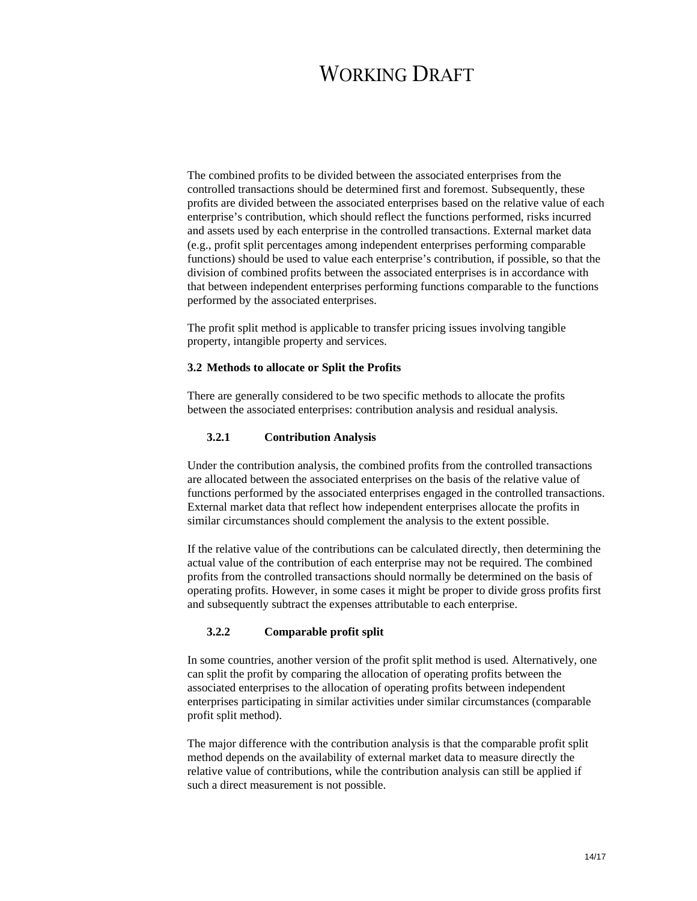The combined profits to be divided between the associated enterprises from the controlled transactions should be determined first and foremost. Subsequently, these profits are divided between the associated enterprises based on the relative value of each enterprise's contribution, which should reflect the functions performed, risks incurred and assets used by each enterprise in the controlled transactions. External market data (e.g., profit split percentages among independent enterprises performing comparable functions) should be used to value each enterprise's contribution, if possible, so that the division of combined profits between the associated enterprises is in accordance with that between independent enterprises performing functions comparable to the functions performed by the associated enterprises.

The profit split method is applicable to transfer pricing issues involving tangible property, intangible property and services.

### **3.2 Methods to allocate or Split the Profits**

There are generally considered to be two specific methods to allocate the profits between the associated enterprises: contribution analysis and residual analysis.

### **3.2.1 Contribution Analysis**

Under the contribution analysis, the combined profits from the controlled transactions are allocated between the associated enterprises on the basis of the relative value of functions performed by the associated enterprises engaged in the controlled transactions. External market data that reflect how independent enterprises allocate the profits in similar circumstances should complement the analysis to the extent possible.

If the relative value of the contributions can be calculated directly, then determining the actual value of the contribution of each enterprise may not be required. The combined profits from the controlled transactions should normally be determined on the basis of operating profits. However, in some cases it might be proper to divide gross profits first and subsequently subtract the expenses attributable to each enterprise.

## **3.2.2 Comparable profit split**

In some countries, another version of the profit split method is used. Alternatively, one can split the profit by comparing the allocation of operating profits between the associated enterprises to the allocation of operating profits between independent enterprises participating in similar activities under similar circumstances (comparable profit split method).

The major difference with the contribution analysis is that the comparable profit split method depends on the availability of external market data to measure directly the relative value of contributions, while the contribution analysis can still be applied if such a direct measurement is not possible.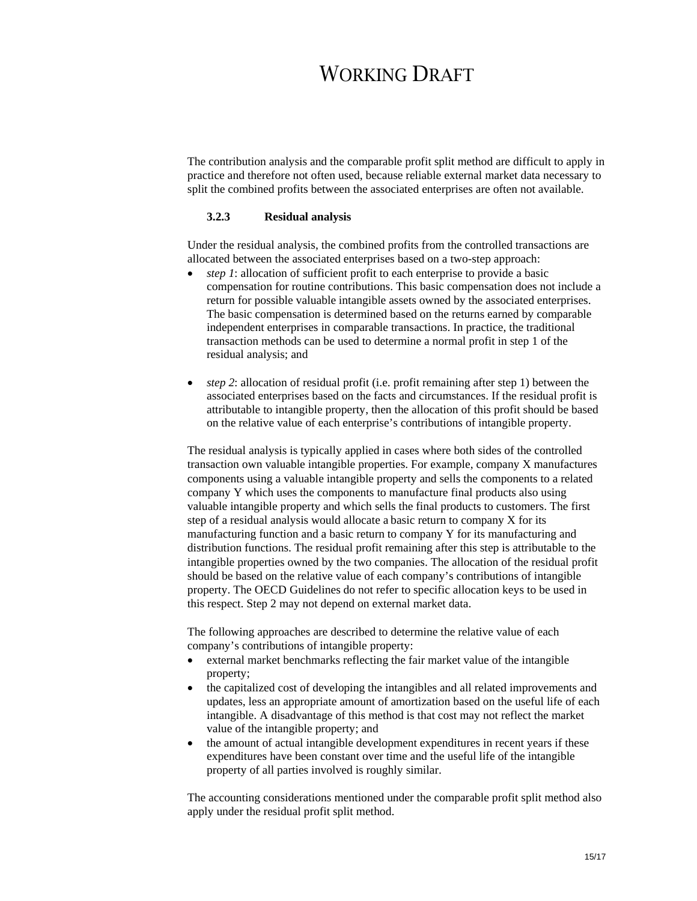The contribution analysis and the comparable profit split method are difficult to apply in practice and therefore not often used, because reliable external market data necessary to split the combined profits between the associated enterprises are often not available.

### **3.2.3 Residual analysis**

Under the residual analysis, the combined profits from the controlled transactions are allocated between the associated enterprises based on a two-step approach:

- *step 1*: allocation of sufficient profit to each enterprise to provide a basic compensation for routine contributions. This basic compensation does not include a return for possible valuable intangible assets owned by the associated enterprises. The basic compensation is determined based on the returns earned by comparable independent enterprises in comparable transactions. In practice, the traditional transaction methods can be used to determine a normal profit in step 1 of the residual analysis; and
- *step 2*: allocation of residual profit (i.e. profit remaining after step 1) between the associated enterprises based on the facts and circumstances. If the residual profit is attributable to intangible property, then the allocation of this profit should be based on the relative value of each enterprise's contributions of intangible property.

The residual analysis is typically applied in cases where both sides of the controlled transaction own valuable intangible properties. For example, company X manufactures components using a valuable intangible property and sells the components to a related company Y which uses the components to manufacture final products also using valuable intangible property and which sells the final products to customers. The first step of a residual analysis would allocate a basic return to company X for its manufacturing function and a basic return to company Y for its manufacturing and distribution functions. The residual profit remaining after this step is attributable to the intangible properties owned by the two companies. The allocation of the residual profit should be based on the relative value of each company's contributions of intangible property. The OECD Guidelines do not refer to specific allocation keys to be used in this respect. Step 2 may not depend on external market data.

The following approaches are described to determine the relative value of each company's contributions of intangible property:

- external market benchmarks reflecting the fair market value of the intangible property;
- the capitalized cost of developing the intangibles and all related improvements and updates, less an appropriate amount of amortization based on the useful life of each intangible. A disadvantage of this method is that cost may not reflect the market value of the intangible property; and
- the amount of actual intangible development expenditures in recent years if these expenditures have been constant over time and the useful life of the intangible property of all parties involved is roughly similar.

The accounting considerations mentioned under the comparable profit split method also apply under the residual profit split method.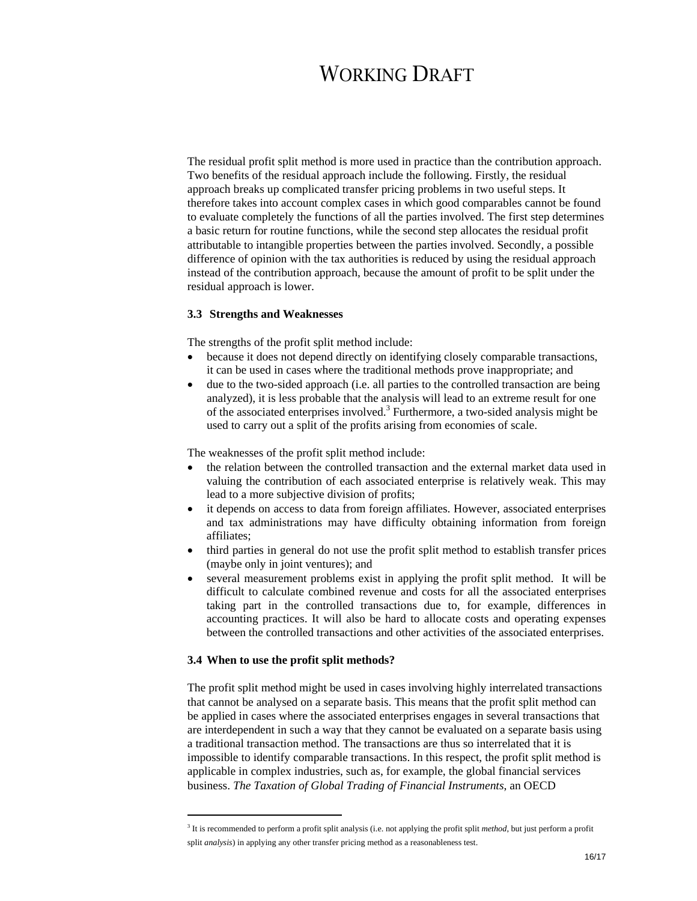The residual profit split method is more used in practice than the contribution approach. Two benefits of the residual approach include the following. Firstly, the residual approach breaks up complicated transfer pricing problems in two useful steps. It therefore takes into account complex cases in which good comparables cannot be found to evaluate completely the functions of all the parties involved. The first step determines a basic return for routine functions, while the second step allocates the residual profit attributable to intangible properties between the parties involved. Secondly, a possible difference of opinion with the tax authorities is reduced by using the residual approach instead of the contribution approach, because the amount of profit to be split under the residual approach is lower.

### **3.3 Strengths and Weaknesses**

The strengths of the profit split method include:

- because it does not depend directly on identifying closely comparable transactions, it can be used in cases where the traditional methods prove inappropriate; and
- due to the two-sided approach (i.e. all parties to the controlled transaction are being analyzed), it is less probable that the analysis will lead to an extreme result for one of the associated enterprises involved.<sup>3</sup> Furthermore, a two-sided analysis might be used to carry out a split of the profits arising from economies of scale.

The weaknesses of the profit split method include:

- the relation between the controlled transaction and the external market data used in valuing the contribution of each associated enterprise is relatively weak. This may lead to a more subjective division of profits;
- it depends on access to data from foreign affiliates. However, associated enterprises and tax administrations may have difficulty obtaining information from foreign affiliates;
- third parties in general do not use the profit split method to establish transfer prices (maybe only in joint ventures); and
- several measurement problems exist in applying the profit split method. It will be difficult to calculate combined revenue and costs for all the associated enterprises taking part in the controlled transactions due to, for example, differences in accounting practices. It will also be hard to allocate costs and operating expenses between the controlled transactions and other activities of the associated enterprises.

#### **3.4 When to use the profit split methods?**

 $\overline{a}$ 

The profit split method might be used in cases involving highly interrelated transactions that cannot be analysed on a separate basis. This means that the profit split method can be applied in cases where the associated enterprises engages in several transactions that are interdependent in such a way that they cannot be evaluated on a separate basis using a traditional transaction method. The transactions are thus so interrelated that it is impossible to identify comparable transactions. In this respect, the profit split method is applicable in complex industries, such as, for example, the global financial services business. *The Taxation of Global Trading of Financial Instruments*, an OECD

<sup>3</sup> It is recommended to perform a profit split analysis (i.e. not applying the profit split *method*, but just perform a profit split *analysis*) in applying any other transfer pricing method as a reasonableness test.